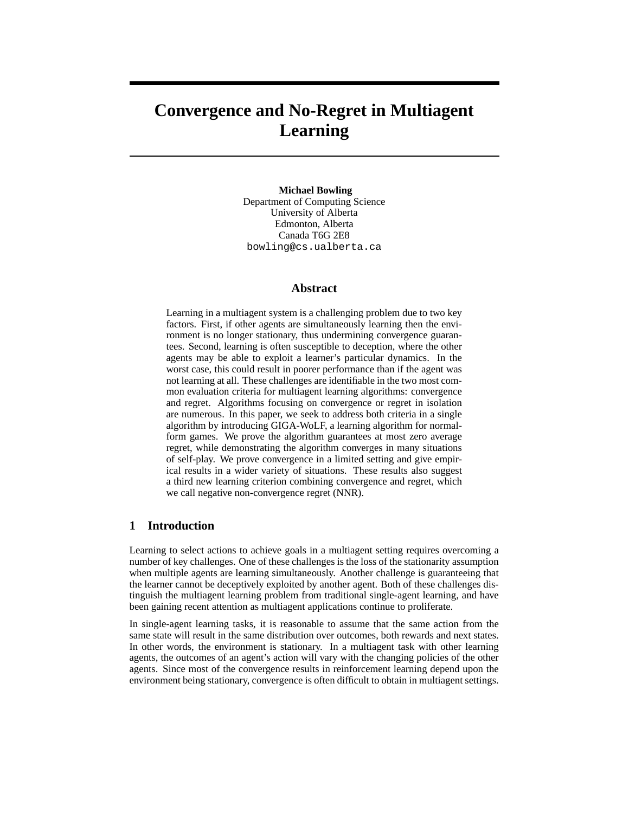# **Convergence and No-Regret in Multiagent Learning**

**Michael Bowling** Department of Computing Science University of Alberta Edmonton, Alberta Canada T6G 2E8 bowling@cs.ualberta.ca

# **Abstract**

Learning in a multiagent system is a challenging problem due to two key factors. First, if other agents are simultaneously learning then the environment is no longer stationary, thus undermining convergence guarantees. Second, learning is often susceptible to deception, where the other agents may be able to exploit a learner's particular dynamics. In the worst case, this could result in poorer performance than if the agent was not learning at all. These challenges are identifiable in the two most common evaluation criteria for multiagent learning algorithms: convergence and regret. Algorithms focusing on convergence or regret in isolation are numerous. In this paper, we seek to address both criteria in a single algorithm by introducing GIGA-WoLF, a learning algorithm for normalform games. We prove the algorithm guarantees at most zero average regret, while demonstrating the algorithm converges in many situations of self-play. We prove convergence in a limited setting and give empirical results in a wider variety of situations. These results also suggest a third new learning criterion combining convergence and regret, which we call negative non-convergence regret (NNR).

## **1 Introduction**

Learning to select actions to achieve goals in a multiagent setting requires overcoming a number of key challenges. One of these challenges is the loss of the stationarity assumption when multiple agents are learning simultaneously. Another challenge is guaranteeing that the learner cannot be deceptively exploited by another agent. Both of these challenges distinguish the multiagent learning problem from traditional single-agent learning, and have been gaining recent attention as multiagent applications continue to proliferate.

In single-agent learning tasks, it is reasonable to assume that the same action from the same state will result in the same distribution over outcomes, both rewards and next states. In other words, the environment is stationary. In a multiagent task with other learning agents, the outcomes of an agent's action will vary with the changing policies of the other agents. Since most of the convergence results in reinforcement learning depend upon the environment being stationary, convergence is often difficult to obtain in multiagent settings.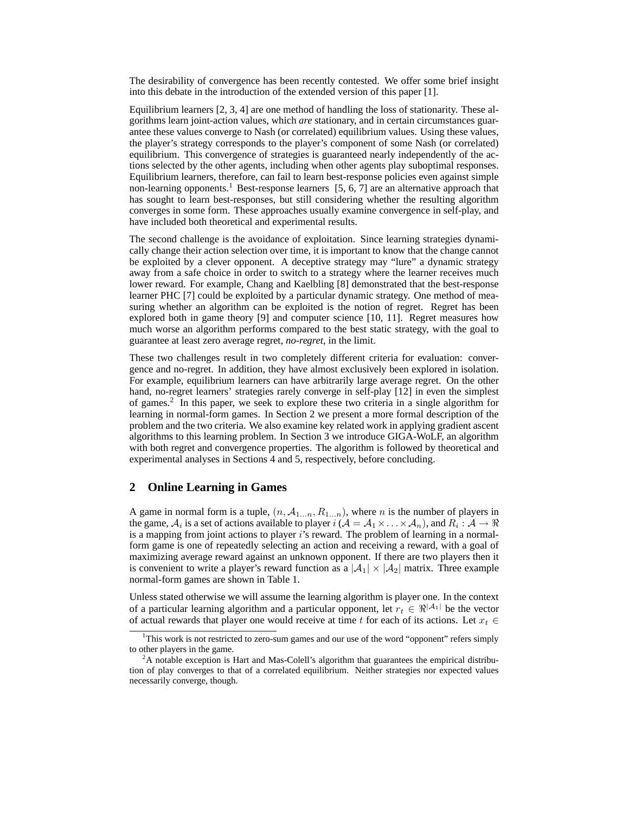The desirability of convergence has been recently contested. We offer some brief insight into this debate in the introduction of the extended version of this paper [1].

Equilibrium learners [2, 3, 4] are one method of handling the loss of stationarity. These algorithms learn joint-action values, which *are* stationary, and in certain circumstances guarantee these values converge to Nash (or correlated) equilibrium values. Using these values, the player's strategy corresponds to the player's component of some Nash (or correlated) equilibrium. This convergence of strategies is guaranteed nearly independently of the actions selected by the other agents, including when other agents play suboptimal responses. Equilibrium learners, therefore, can fail to learn best-response policies even against simple non-learning opponents.<sup>1</sup> Best-response learners [5, 6, 7] are an alternative approach that has sought to learn best-responses, but still considering whether the resulting algorithm converges in some form. These approaches usually examine convergence in self-play, and have included both theoretical and experimental results.

The second challenge is the avoidance of exploitation. Since learning strategies dynamically change their action selection over time, it is important to know that the change cannot be exploited by a clever opponent. A deceptive strategy may "lure" a dynamic strategy away from a safe choice in order to switch to a strategy where the learner receives much lower reward. For example, Chang and Kaelbling [8] demonstrated that the best-response learner PHC [7] could be exploited by a particular dynamic strategy. One method of measuring whether an algorithm can be exploited is the notion of regret. Regret has been explored both in game theory [9] and computer science [10, 11]. Regret measures how much worse an algorithm performs compared to the best static strategy, with the goal to guarantee at least zero average regret, *no-regret*, in the limit.

These two challenges result in two completely different criteria for evaluation: convergence and no-regret. In addition, they have almost exclusively been explored in isolation. For example, equilibrium learners can have arbitrarily large average regret. On the other hand, no-regret learners' strategies rarely converge in self-play [12] in even the simplest of games.<sup>2</sup> In this paper, we seek to explore these two criteria in a single algorithm for learning in normal-form games. In Section 2 we present a more formal description of the problem and the two criteria. We also examine key related work in applying gradient ascent algorithms to this learning problem. In Section 3 we introduce GIGA-WoLF, an algorithm with both regret and convergence properties. The algorithm is followed by theoretical and experimental analyses in Sections 4 and 5, respectively, before concluding.

## **2 Online Learning in Games**

A game in normal form is a tuple,  $(n, A_{1...n}, R_{1...n})$ , where *n* is the number of players in the game,  $A_i$  is a set of actions available to player  $i(A = A_1 \times \ldots \times A_n)$ , and  $R_i : A \to \Re$ is a mapping from joint actions to player i's reward. The problem of learning in a normalform game is one of repeatedly selecting an action and receiving a reward, with a goal of maximizing average reward against an unknown opponent. If there are two players then it is convenient to write a player's reward function as a  $|\mathcal{A}_1| \times |\mathcal{A}_2|$  matrix. Three example normal-form games are shown in Table 1.

Unless stated otherwise we will assume the learning algorithm is player one. In the context of a particular learning algorithm and a particular opponent, let  $r_t \in \mathbb{R}^{|\mathcal{A}_1|}$  be the vector of actual rewards that player one would receive at time t for each of its actions. Let  $x_t \in$ 

<sup>&</sup>lt;sup>1</sup>This work is not restricted to zero-sum games and our use of the word "opponent" refers simply to other players in the game.

 $2A$  notable exception is Hart and Mas-Colell's algorithm that guarantees the empirical distribution of play converges to that of a correlated equilibrium. Neither strategies nor expected values necessarily converge, though.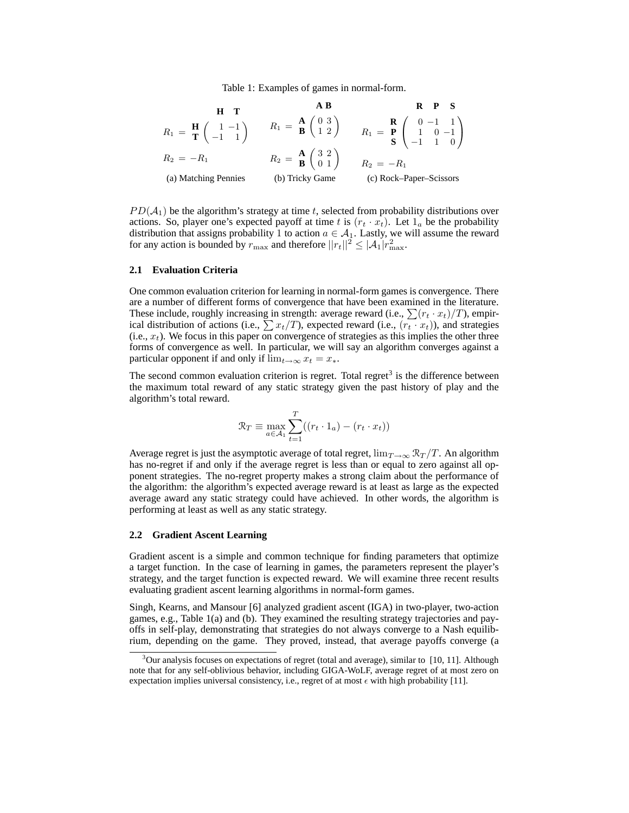Table 1: Examples of games in normal-form.

| H                                                                  | T                                                                | AB                                                                                       | R | P | S |
|--------------------------------------------------------------------|------------------------------------------------------------------|------------------------------------------------------------------------------------------|---|---|---|
| $R_1 = \frac{H}{T} \begin{pmatrix} 1 & -1 \\ -1 & 1 \end{pmatrix}$ | $R_1 = \frac{A}{B} \begin{pmatrix} 0 & 3 \\ 1 & 2 \end{pmatrix}$ | $R_1 = \frac{R}{P} \begin{pmatrix} 0 & -1 & 1 \\ 1 & 0 & -1 \\ -1 & 1 & 0 \end{pmatrix}$ |   |   |   |
| $R_2 = -R_1$                                                       | $R_2 = \frac{A}{B} \begin{pmatrix} 3 & 2 \\ 0 & 1 \end{pmatrix}$ | $R_2 = -R_1$                                                                             |   |   |   |
| (a) Matching Pennies                                               | (b) Tricky Game                                                  | (c) Rock–Paper–Scissors                                                                  |   |   |   |

 $PD(\mathcal{A}_1)$  be the algorithm's strategy at time t, selected from probability distributions over actions. So, player one's expected payoff at time t is  $(r_t \cdot x_t)$ . Let  $1_a$  be the probability distribution that assigns probability 1 to action  $a \in A_1$ . Lastly, we will assume the reward for any action is bounded by  $r_{\text{max}}$  and therefore  $||r_t||^2 \leq |\mathcal{A}_1|r_{\text{max}}^2$ .

#### **2.1 Evaluation Criteria**

One common evaluation criterion for learning in normal-form games is convergence. There are a number of different forms of convergence that have been examined in the literature. These include, roughly increasing in strength: average reward (i.e.,  $\sum (r_t \cdot x_t)/T$ ), empirical distribution of actions (i.e.,  $\sum x_t/T$ ), expected reward (i.e.,  $(r_t \cdot x_t)$ ), and strategies (i.e.,  $x_t$ ). We focus in this paper on convergence of strategies as this implies the other three forms of convergence as well. In particular, we will say an algorithm converges against a particular opponent if and only if  $\lim_{t\to\infty} x_t = x_*$ .

The second common evaluation criterion is regret. Total regret<sup>3</sup> is the difference between the maximum total reward of any static strategy given the past history of play and the algorithm's total reward.

$$
\mathcal{R}_T \equiv \max_{a \in \mathcal{A}_1} \sum_{t=1}^T ((r_t \cdot 1_a) - (r_t \cdot x_t))
$$

Average regret is just the asymptotic average of total regret,  $\lim_{T\to\infty} \mathcal{R}_T/T$ . An algorithm has no-regret if and only if the average regret is less than or equal to zero against all opponent strategies. The no-regret property makes a strong claim about the performance of the algorithm: the algorithm's expected average reward is at least as large as the expected average award any static strategy could have achieved. In other words, the algorithm is performing at least as well as any static strategy.

#### **2.2 Gradient Ascent Learning**

Gradient ascent is a simple and common technique for finding parameters that optimize a target function. In the case of learning in games, the parameters represent the player's strategy, and the target function is expected reward. We will examine three recent results evaluating gradient ascent learning algorithms in normal-form games.

Singh, Kearns, and Mansour [6] analyzed gradient ascent (IGA) in two-player, two-action games, e.g., Table 1(a) and (b). They examined the resulting strategy trajectories and payoffs in self-play, demonstrating that strategies do not always converge to a Nash equilibrium, depending on the game. They proved, instead, that average payoffs converge (a

 $3$ Our analysis focuses on expectations of regret (total and average), similar to [10, 11]. Although note that for any self-oblivious behavior, including GIGA-WoLF, average regret of at most zero on expectation implies universal consistency, i.e., regret of at most  $\epsilon$  with high probability [11].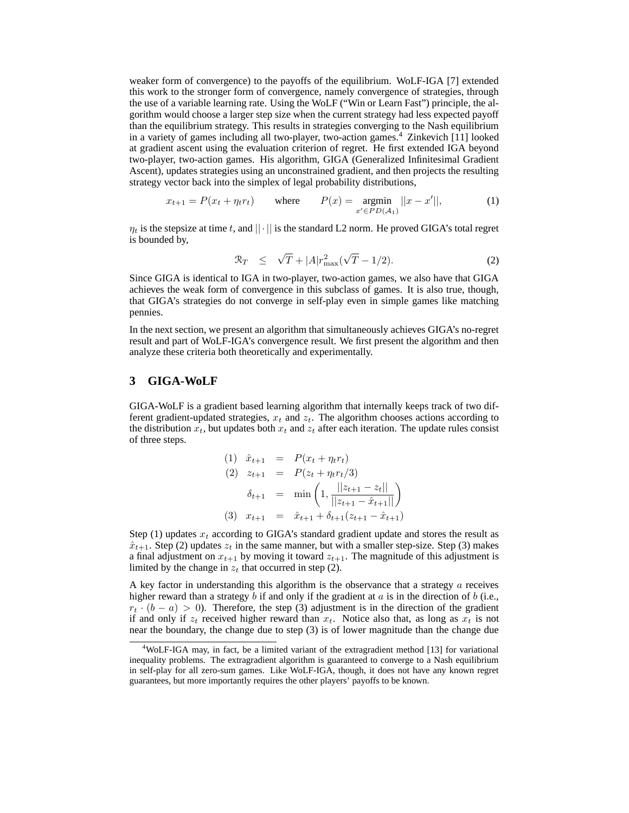weaker form of convergence) to the payoffs of the equilibrium. WoLF-IGA [7] extended this work to the stronger form of convergence, namely convergence of strategies, through the use of a variable learning rate. Using the WoLF ("Win or Learn Fast") principle, the algorithm would choose a larger step size when the current strategy had less expected payoff than the equilibrium strategy. This results in strategies converging to the Nash equilibrium in a variety of games including all two-player, two-action games.<sup>4</sup> Zinkevich [11] looked at gradient ascent using the evaluation criterion of regret. He first extended IGA beyond two-player, two-action games. His algorithm, GIGA (Generalized Infinitesimal Gradient Ascent), updates strategies using an unconstrained gradient, and then projects the resulting strategy vector back into the simplex of legal probability distributions,

$$
x_{t+1} = P(x_t + \eta_t r_t) \qquad \text{where} \qquad P(x) = \underset{x' \in PD(A_1)}{\text{argmin}} ||x - x'||, \tag{1}
$$

 $\eta_t$  is the stepsize at time t, and  $|| \cdot ||$  is the standard L2 norm. He proved GIGA's total regret is bounded by,

$$
\mathcal{R}_T \leq \sqrt{T} + |A| r_{\text{max}}^2 (\sqrt{T} - 1/2). \tag{2}
$$

Since GIGA is identical to IGA in two-player, two-action games, we also have that GIGA achieves the weak form of convergence in this subclass of games. It is also true, though, that GIGA's strategies do not converge in self-play even in simple games like matching pennies.

In the next section, we present an algorithm that simultaneously achieves GIGA's no-regret result and part of WoLF-IGA's convergence result. We first present the algorithm and then analyze these criteria both theoretically and experimentally.

# **3 GIGA-WoLF**

GIGA-WoLF is a gradient based learning algorithm that internally keeps track of two different gradient-updated strategies,  $x_t$  and  $z_t$ . The algorithm chooses actions according to the distribution  $x_t$ , but updates both  $x_t$  and  $z_t$  after each iteration. The update rules consist of three steps.

(1) 
$$
\hat{x}_{t+1} = P(x_t + \eta_t r_t)
$$
  
\n(2)  $z_{t+1} = P(z_t + \eta_t r_t/3)$   
\n $\delta_{t+1} = \min \left( 1, \frac{||z_{t+1} - z_t||}{||z_{t+1} - \hat{x}_{t+1}||} \right)$   
\n(3)  $x_{t+1} = \hat{x}_{t+1} + \delta_{t+1}(z_{t+1} - \hat{x}_{t+1})$ 

Step (1) updates  $x_t$  according to GIGA's standard gradient update and stores the result as  $\hat{x}_{t+1}$ . Step (2) updates  $z_t$  in the same manner, but with a smaller step-size. Step (3) makes a final adjustment on  $x_{t+1}$  by moving it toward  $z_{t+1}$ . The magnitude of this adjustment is limited by the change in  $z_t$  that occurred in step (2).

A key factor in understanding this algorithm is the observance that a strategy  $\alpha$  receives higher reward than a strategy  $b$  if and only if the gradient at  $a$  is in the direction of  $b$  (i.e.,  $r_t \cdot (b - a) > 0$ . Therefore, the step (3) adjustment is in the direction of the gradient if and only if  $z_t$  received higher reward than  $x_t$ . Notice also that, as long as  $x_t$  is not near the boundary, the change due to step (3) is of lower magnitude than the change due

<sup>&</sup>lt;sup>4</sup>WoLF-IGA may, in fact, be a limited variant of the extragradient method [13] for variational inequality problems. The extragradient algorithm is guaranteed to converge to a Nash equilibrium in self-play for all zero-sum games. Like WoLF-IGA, though, it does not have any known regret guarantees, but more importantly requires the other players' payoffs to be known.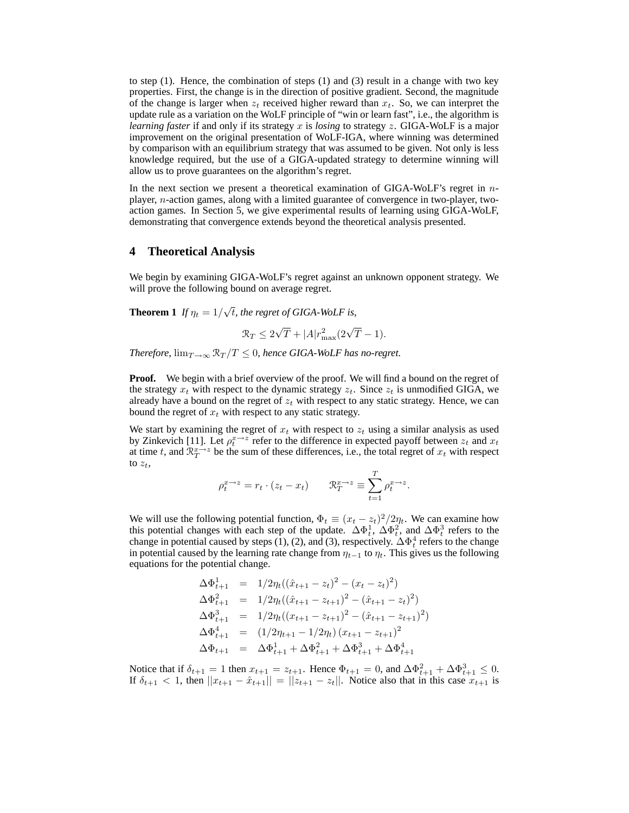to step  $(1)$ . Hence, the combination of steps  $(1)$  and  $(3)$  result in a change with two key properties. First, the change is in the direction of positive gradient. Second, the magnitude of the change is larger when  $z_t$  received higher reward than  $x_t$ . So, we can interpret the update rule as a variation on the WoLF principle of "win or learn fast", i.e., the algorithm is *learning faster* if and only if its strategy x is *losing* to strategy z. GIGA-WoLF is a major improvement on the original presentation of WoLF-IGA, where winning was determined by comparison with an equilibrium strategy that was assumed to be given. Not only is less knowledge required, but the use of a GIGA-updated strategy to determine winning will allow us to prove guarantees on the algorithm's regret.

In the next section we present a theoretical examination of GIGA-WoLF's regret in  $n$ player, n-action games, along with a limited guarantee of convergence in two-player, twoaction games. In Section 5, we give experimental results of learning using GIGA-WoLF, demonstrating that convergence extends beyond the theoretical analysis presented.

## **4 Theoretical Analysis**

We begin by examining GIGA-WoLF's regret against an unknown opponent strategy. We will prove the following bound on average regret.

**Theorem 1** *If*  $\eta_t = 1/\sqrt{t}$ *, the regret of GIGA-WoLF is,* 

$$
\mathcal{R}_T \le 2\sqrt{T} + |A|r_{\text{max}}^2(2\sqrt{T} - 1).
$$

*Therefore,*  $\lim_{T\to\infty} \mathcal{R}_T/T \leq 0$ , hence GIGA-WoLF has no-regret.

**Proof.** We begin with a brief overview of the proof. We will find a bound on the regret of the strategy  $x_t$  with respect to the dynamic strategy  $z_t$ . Since  $z_t$  is unmodified GIGA, we already have a bound on the regret of  $z_t$  with respect to any static strategy. Hence, we can bound the regret of  $x_t$  with respect to any static strategy.

We start by examining the regret of  $x_t$  with respect to  $z_t$  using a similar analysis as used by Zinkevich [11]. Let  $\rho_t^x \rightarrow z$  refer to the difference in expected payoff between  $z_t$  and  $x_t$ at time t, and  $\mathbb{R}^{x\to z}_T$  be the sum of these differences, i.e., the total regret of  $x_t$  with respect to  $z_t$ ,

$$
\rho_t^{x \to z} = r_t \cdot (z_t - x_t) \qquad \mathfrak{R}_T^{x \to z} \equiv \sum_{t=1}^T \rho_t^{x \to z}.
$$

We will use the following potential function,  $\Phi_t \equiv (x_t - z_t)^2/2\eta_t$ . We can examine how this potential changes with each step of the update.  $\Delta \Phi_t^1$ ,  $\Delta \Phi_t^2$ , and  $\Delta \Phi_t^3$  refers to the change in potential caused by steps (1), (2), and (3), respectively.  $\Delta\Phi_t^4$  refers to the change in potential caused by the learning rate change from  $\eta_{t-1}$  to  $\eta_t$ . This gives us the following equations for the potential change.

$$
\Delta \Phi_{t+1}^{1} = 1/2\eta_{t}((\hat{x}_{t+1} - z_{t})^{2} - (x_{t} - z_{t})^{2})
$$
  
\n
$$
\Delta \Phi_{t+1}^{2} = 1/2\eta_{t}((\hat{x}_{t+1} - z_{t+1})^{2} - (\hat{x}_{t+1} - z_{t})^{2})
$$
  
\n
$$
\Delta \Phi_{t+1}^{3} = 1/2\eta_{t}((x_{t+1} - z_{t+1})^{2} - (\hat{x}_{t+1} - z_{t+1})^{2})
$$
  
\n
$$
\Delta \Phi_{t+1}^{4} = (1/2\eta_{t+1} - 1/2\eta_{t})(x_{t+1} - z_{t+1})^{2}
$$
  
\n
$$
\Delta \Phi_{t+1} = \Delta \Phi_{t+1}^{1} + \Delta \Phi_{t+1}^{2} + \Delta \Phi_{t+1}^{3} + \Delta \Phi_{t+1}^{4}
$$

Notice that if  $\delta_{t+1} = 1$  then  $x_{t+1} = z_{t+1}$ . Hence  $\Phi_{t+1} = 0$ , and  $\Delta \Phi_{t+1}^2 + \Delta \Phi_{t+1}^3 \leq 0$ . If  $\delta_{t+1} < 1$ , then  $||x_{t+1} - \hat{x}_{t+1}|| = ||z_{t+1} - z_t||$ . Notice also that in this case  $x_{t+1}$  is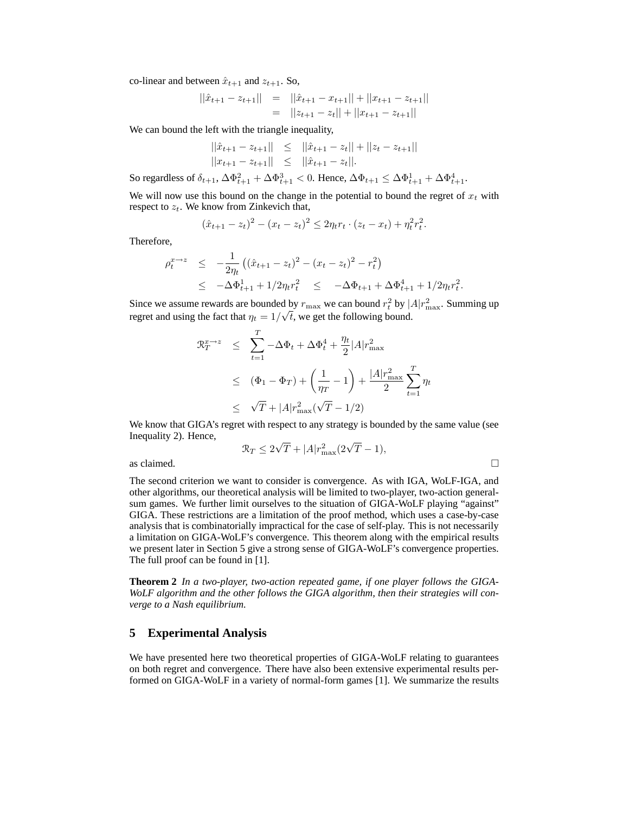co-linear and between  $\hat{x}_{t+1}$  and  $z_{t+1}$ . So,

$$
||\hat{x}_{t+1} - z_{t+1}|| = ||\hat{x}_{t+1} - x_{t+1}|| + ||x_{t+1} - z_{t+1}||
$$
  
=  $||z_{t+1} - z_t|| + ||x_{t+1} - z_{t+1}||$ 

We can bound the left with the triangle inequality,

$$
\begin{aligned}\n||\hat{x}_{t+1} - z_{t+1}|| &\leq ||\hat{x}_{t+1} - z_t|| + ||z_t - z_{t+1}|| \\
||x_{t+1} - z_{t+1}|| &\leq ||\hat{x}_{t+1} - z_t||.\n\end{aligned}
$$

So regardless of  $\delta_{t+1}$ ,  $\Delta \Phi_{t+1}^2 + \Delta \Phi_{t+1}^3 < 0$ . Hence,  $\Delta \Phi_{t+1} \leq \Delta \Phi_{t+1}^1 + \Delta \Phi_{t+1}^4$ .

We will now use this bound on the change in the potential to bound the regret of  $x_t$  with respect to  $z_t$ . We know from Zinkevich that,

$$
(\hat{x}_{t+1} - z_t)^2 - (x_t - z_t)^2 \le 2\eta_t r_t \cdot (z_t - x_t) + \eta_t^2 r_t^2.
$$

Therefore,

$$
\rho_t^{x \to z} \leq -\frac{1}{2\eta_t} \left( (\hat{x}_{t+1} - z_t)^2 - (x_t - z_t)^2 - r_t^2 \right) \leq -\Delta \Phi_{t+1}^1 + 1/2\eta_t r_t^2 \leq -\Delta \Phi_{t+1} + \Delta \Phi_{t+1}^4 + 1/2\eta_t r_t^2.
$$

Since we assume rewards are bounded by  $r_{\text{max}}$  we can bound  $r_t^2$  by  $|A|r_{\text{max}}^2$ . Summing up regret and using the fact that  $\eta_t = 1/\sqrt{t}$ , we get the following bound.

$$
\mathcal{R}_T^{x \to z} \leq \sum_{t=1}^T -\Delta \Phi_t + \Delta \Phi_t^4 + \frac{\eta_t}{2} |A| r_{\text{max}}^2
$$
  
 
$$
\leq (\Phi_1 - \Phi_T) + \left(\frac{1}{\eta_T} - 1\right) + \frac{|A| r_{\text{max}}^2}{2} \sum_{t=1}^T \eta_t
$$
  
 
$$
\leq \sqrt{T} + |A| r_{\text{max}}^2 (\sqrt{T} - 1/2)
$$

We know that GIGA's regret with respect to any strategy is bounded by the same value (see Inequality 2). Hence,

$$
\mathcal{R}_T \le 2\sqrt{T} + |A|r_{\text{max}}^2(2\sqrt{T} - 1),
$$

as claimed.  $\Box$ 

The second criterion we want to consider is convergence. As with IGA, WoLF-IGA, and other algorithms, our theoretical analysis will be limited to two-player, two-action generalsum games. We further limit ourselves to the situation of GIGA-WoLF playing "against" GIGA. These restrictions are a limitation of the proof method, which uses a case-by-case analysis that is combinatorially impractical for the case of self-play. This is not necessarily a limitation on GIGA-WoLF's convergence. This theorem along with the empirical results we present later in Section 5 give a strong sense of GIGA-WoLF's convergence properties. The full proof can be found in [1].

**Theorem 2** *In a two-player, two-action repeated game, if one player follows the GIGA-WoLF algorithm and the other follows the GIGA algorithm, then their strategies will converge to a Nash equilibrium.*

### **5 Experimental Analysis**

We have presented here two theoretical properties of GIGA-WoLF relating to guarantees on both regret and convergence. There have also been extensive experimental results performed on GIGA-WoLF in a variety of normal-form games [1]. We summarize the results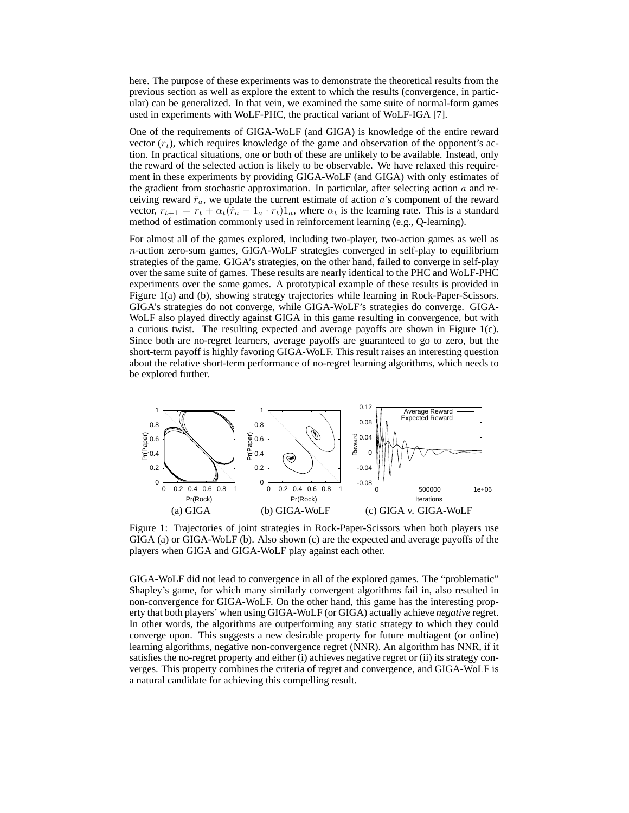here. The purpose of these experiments was to demonstrate the theoretical results from the previous section as well as explore the extent to which the results (convergence, in particular) can be generalized. In that vein, we examined the same suite of normal-form games used in experiments with WoLF-PHC, the practical variant of WoLF-IGA [7].

One of the requirements of GIGA-WoLF (and GIGA) is knowledge of the entire reward vector  $(r_t)$ , which requires knowledge of the game and observation of the opponent's action. In practical situations, one or both of these are unlikely to be available. Instead, only the reward of the selected action is likely to be observable. We have relaxed this requirement in these experiments by providing GIGA-WoLF (and GIGA) with only estimates of the gradient from stochastic approximation. In particular, after selecting action  $a$  and receiving reward  $\hat{r}_a$ , we update the current estimate of action a's component of the reward vector,  $r_{t+1} = r_t + \alpha_t(\hat{r}_a - \mathbb{1}_a \cdot r_t)\mathbb{1}_a$ , where  $\alpha_t$  is the learning rate. This is a standard method of estimation commonly used in reinforcement learning (e.g., Q-learning).

For almost all of the games explored, including two-player, two-action games as well as  $n$ -action zero-sum games, GIGA-WoLF strategies converged in self-play to equilibrium strategies of the game. GIGA's strategies, on the other hand, failed to converge in self-play over the same suite of games. These results are nearly identical to the PHC and WoLF-PHC experiments over the same games. A prototypical example of these results is provided in Figure 1(a) and (b), showing strategy trajectories while learning in Rock-Paper-Scissors. GIGA's strategies do not converge, while GIGA-WoLF's strategies do converge. GIGA-WoLF also played directly against GIGA in this game resulting in convergence, but with a curious twist. The resulting expected and average payoffs are shown in Figure 1(c). Since both are no-regret learners, average payoffs are guaranteed to go to zero, but the short-term payoff is highly favoring GIGA-WoLF. This result raises an interesting question about the relative short-term performance of no-regret learning algorithms, which needs to be explored further.



Figure 1: Trajectories of joint strategies in Rock-Paper-Scissors when both players use GIGA (a) or GIGA-WoLF (b). Also shown (c) are the expected and average payoffs of the players when GIGA and GIGA-WoLF play against each other.

GIGA-WoLF did not lead to convergence in all of the explored games. The "problematic" Shapley's game, for which many similarly convergent algorithms fail in, also resulted in non-convergence for GIGA-WoLF. On the other hand, this game has the interesting property that both players' when using GIGA-WoLF (or GIGA) actually achieve *negative* regret. In other words, the algorithms are outperforming any static strategy to which they could converge upon. This suggests a new desirable property for future multiagent (or online) learning algorithms, negative non-convergence regret (NNR). An algorithm has NNR, if it satisfies the no-regret property and either (i) achieves negative regret or (ii) its strategy converges. This property combines the criteria of regret and convergence, and GIGA-WoLF is a natural candidate for achieving this compelling result.